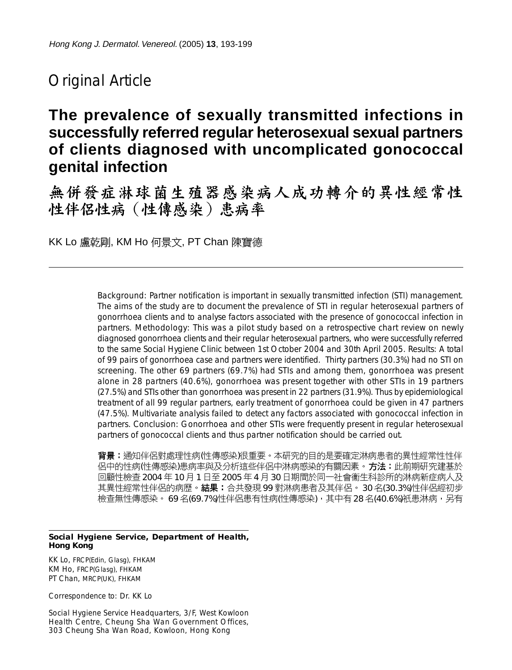# Original Article

# **The prevalence of sexually transmitted infections in successfully referred regular heterosexual sexual partners of clients diagnosed with uncomplicated gonococcal genital infection**

無併發症淋球菌生殖器感染病人成功轉介的異性經常性 性伴侣性病 (性傳感染)患病率

KK Lo 盧乾剛, KM Ho 何景文, PT Chan 陳寶德

*Background:* Partner notification is important in sexually transmitted infection (STI) management. The aims of the study are to document the prevalence of STI in regular heterosexual partners of gonorrhoea clients and to analyse factors associated with the presence of gonococcal infection in partners. *Methodology:* This was a pilot study based on a retrospective chart review on newly diagnosed gonorrhoea clients and their regular heterosexual partners, who were successfully referred to the same Social Hygiene Clinic between 1st October 2004 and 30th April 2005. *Results:* A total of 99 pairs of gonorrhoea case and partners were identified. Thirty partners (30.3%) had no STI on screening. The other 69 partners (69.7%) had STIs and among them, gonorrhoea was present alone in 28 partners (40.6%), gonorrhoea was present together with other STIs in 19 partners (27.5%) and STIs other than gonorrhoea was present in 22 partners (31.9%). Thus by epidemiological treatment of all 99 regular partners, early treatment of gonorrhoea could be given in 47 partners (47.5%). Multivariate analysis failed to detect any factors associated with gonococcal infection in partners. *Conclusion:* Gonorrhoea and other STIs were frequently present in regular heterosexual partners of gonococcal clients and thus partner notification should be carried out.

背景:通知伴侶對處理性病(性傳感染)很重要。本研究的目的是要確定淋病患者的異性經常性性伴 侣中的性病(性傳感染)患病率與及分析這些伴侶中淋病感染的有關因素。方法:此前期研究建基於 回顧性檢查 2004 年 10 月 1 日至 2005 年 4 月 30 日期間於同一社會衞生科診所的淋病新症病人及 其異性經常性伴侶的病歷。結果:合共發現 99 對淋病患者及其伴侶。 30 名(30.3%)性伴侶經初步 檢查無性傳感染。 69 名(69.7%)性伴侶患有性病(性傳感染),其中有 28 名(40.6%)祇患淋病,另有

#### **Social Hygiene Service, Department of Health, Hong Kong**

KK Lo, FRCP(Edin, Glasg), FHKAM KM Ho, FRCP(Glasg), FHKAM PT Chan, MRCP(UK), FHKAM

Correspondence to: Dr. KK Lo

Social Hygiene Service Headquarters, 3/F, West Kowloon Health Centre, Cheung Sha Wan Government Offices, 303 Cheung Sha Wan Road, Kowloon, Hong Kong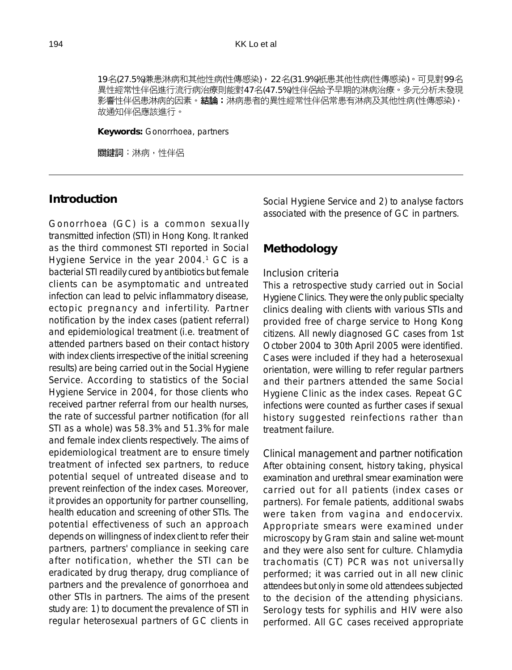19名(27.5%)兼患淋病和其他性病(性傳感染), 22名(31.9%)衹患其他性病(性傳感染)。可見對99名 異性經常性伴侶進行流行病治療則能對47名(47.5%)性伴侶給予早期的淋病治療。多元分析未發現 影響性伴侶患淋病的因素。結論:淋病患者的異性經常性伴侶常患有淋病及其他性病(性傳感染), 故通知伴侶應該進行。

**Keywords:** Gonorrhoea, partners

關鍵詞:淋病,性伴侶

## **Introduction**

Gonorrhoea (GC) is a common sexually transmitted infection (STI) in Hong Kong. It ranked as the third commonest STI reported in Social Hygiene Service in the year 2004.<sup>1</sup> GC is a bacterial STI readily cured by antibiotics but female clients can be asymptomatic and untreated infection can lead to pelvic inflammatory disease, ectopic pregnancy and infertility. Partner notification by the index cases (patient referral) and epidemiological treatment (i.e. treatment of attended partners based on their contact history with index clients irrespective of the initial screening results) are being carried out in the Social Hygiene Service. According to statistics of the Social Hygiene Service in 2004, for those clients who received partner referral from our health nurses, the rate of successful partner notification (for all STI as a whole) was 58.3% and 51.3% for male and female index clients respectively. The aims of epidemiological treatment are to ensure timely treatment of infected sex partners, to reduce potential sequel of untreated disease and to prevent reinfection of the index cases. Moreover, it provides an opportunity for partner counselling, health education and screening of other STIs. The potential effectiveness of such an approach depends on willingness of index client to refer their partners, partners' compliance in seeking care after notification, whether the STI can be eradicated by drug therapy, drug compliance of partners and the prevalence of gonorrhoea and other STIs in partners. The aims of the present study are: 1) to document the prevalence of STI in regular heterosexual partners of GC clients in

Social Hygiene Service and 2) to analyse factors associated with the presence of GC in partners.

#### **Methodology**

#### *Inclusion criteria*

This a retrospective study carried out in Social Hygiene Clinics. They were the only public specialty clinics dealing with clients with various STIs and provided free of charge service to Hong Kong citizens. All newly diagnosed GC cases from 1st October 2004 to 30th April 2005 were identified. Cases were included if they had a heterosexual orientation, were willing to refer regular partners and their partners attended the same Social Hygiene Clinic as the index cases. Repeat GC infections were counted as further cases if sexual history suggested reinfections rather than treatment failure.

*Clinical management and partner notification* After obtaining consent, history taking, physical examination and urethral smear examination were carried out for all patients (index cases or partners). For female patients, additional swabs were taken from vagina and endocervix. Appropriate smears were examined under microscopy by Gram stain and saline wet-mount and they were also sent for culture. Chlamydia trachomatis (CT) PCR was not universally performed; it was carried out in all new clinic attendees but only in some old attendees subjected to the decision of the attending physicians. Serology tests for syphilis and HIV were also performed. All GC cases received appropriate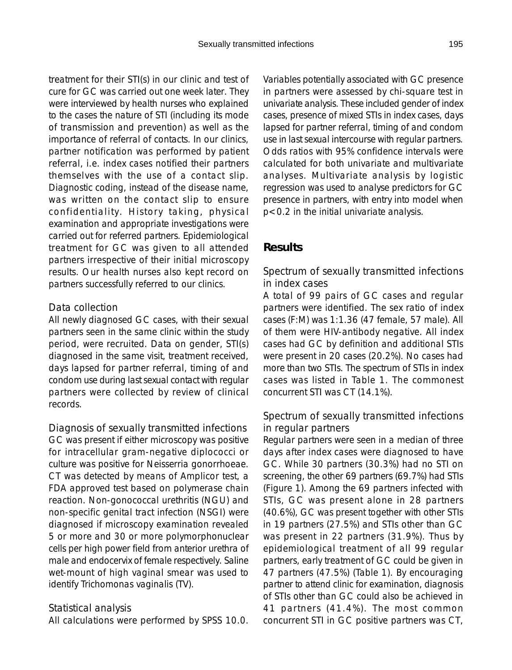treatment for their STI(s) in our clinic and test of cure for GC was carried out one week later. They were interviewed by health nurses who explained to the cases the nature of STI (including its mode of transmission and prevention) as well as the importance of referral of contacts. In our clinics, partner notification was performed by patient referral, i.e. index cases notified their partners themselves with the use of a contact slip. Diagnostic coding, instead of the disease name, was written on the contact slip to ensure confidentiality. History taking, physical examination and appropriate investigations were carried out for referred partners. Epidemiological treatment for GC was given to all attended partners irrespective of their initial microscopy results. Our health nurses also kept record on partners successfully referred to our clinics.

#### *Data collection*

All newly diagnosed GC cases, with their sexual partners seen in the same clinic within the study period, were recruited. Data on gender, STI(s) diagnosed in the same visit, treatment received, days lapsed for partner referral, timing of and condom use during last sexual contact with regular partners were collected by review of clinical records.

#### *Diagnosis of sexually transmitted infections*

GC was present if either microscopy was positive for intracellular gram-negative diplococci or culture was positive for Neisserria gonorrhoeae. CT was detected by means of Amplicor test, a FDA approved test based on polymerase chain reaction. Non-gonococcal urethritis (NGU) and non-specific genital tract infection (NSGI) were diagnosed if microscopy examination revealed 5 or more and 30 or more polymorphonuclear cells per high power field from anterior urethra of male and endocervix of female respectively. Saline wet-mount of high vaginal smear was used to identify Trichomonas vaginalis (TV).

#### *Statistical analysis*

All calculations were performed by SPSS 10.0.

Variables potentially associated with GC presence in partners were assessed by chi-square test in univariate analysis. These included gender of index cases, presence of mixed STIs in index cases, days lapsed for partner referral, timing of and condom use in last sexual intercourse with regular partners. Odds ratios with 95% confidence intervals were calculated for both univariate and multivariate analyses. Multivariate analysis by logistic regression was used to analyse predictors for GC presence in partners, with entry into model when p<0.2 in the initial univariate analysis.

# **Results**

## *Spectrum of sexually transmitted infections in index cases*

A total of 99 pairs of GC cases and regular partners were identified. The sex ratio of index cases (F:M) was 1:1.36 (47 female, 57 male). All of them were HIV-antibody negative. All index cases had GC by definition and additional STIs were present in 20 cases (20.2%). No cases had more than two STIs. The spectrum of STIs in index cases was listed in Table 1. The commonest concurrent STI was CT (14.1%).

## *Spectrum of sexually transmitted infections in regular partners*

Regular partners were seen in a median of three days after index cases were diagnosed to have GC. While 30 partners (30.3%) had no STI on screening, the other 69 partners (69.7%) had STIs (Figure 1). Among the 69 partners infected with STIs, GC was present alone in 28 partners (40.6%), GC was present together with other STIs in 19 partners (27.5%) and STIs other than GC was present in 22 partners (31.9%). Thus by epidemiological treatment of all 99 regular partners, early treatment of GC could be given in 47 partners (47.5%) (Table 1). By encouraging partner to attend clinic for examination, diagnosis of STIs other than GC could also be achieved in 41 partners (41.4%). The most common concurrent STI in GC positive partners was CT,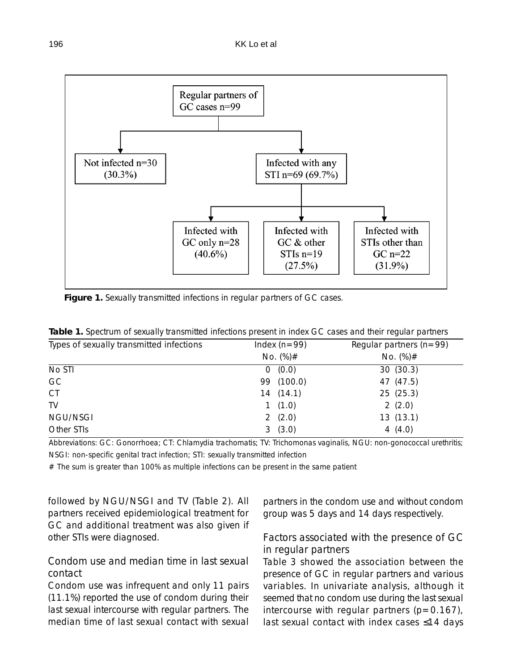

**Figure 1.** Sexually transmitted infections in regular partners of GC cases.

| Types of sexually transmitted infections | Index $(n=99)$ | Regular partners ( $n = 99$ ) |  |
|------------------------------------------|----------------|-------------------------------|--|
|                                          | No. $(\%)#$    | No. $(\%) \#$                 |  |
| No STI                                   | 0(0.0)         | 30(30.3)                      |  |
| GC                                       | 99 (100.0)     | 47 (47.5)                     |  |
| CT                                       | 14(14.1)       | 25(25.3)                      |  |
| TV                                       | 1(1.0)         | 2(2.0)                        |  |
| NGU/NSGI                                 | 2 $(2.0)$      | 13(13.1)                      |  |
| Other STIs                               | 3(3.0)         | 4 $(4.0)$                     |  |

**Table 1.** Spectrum of sexually transmitted infections present in index GC cases and their regular partners

Abbreviations: GC: Gonorrhoea; CT: Chlamydia trachomatis; TV: Trichomonas vaginalis, NGU: non-gonococcal urethritis; NSGI: non-specific genital tract infection; STI: sexually transmitted infection

 $#$  The sum is greater than 100% as multiple infections can be present in the same patient

followed by NGU/NSGI and TV (Table 2). All partners received epidemiological treatment for GC and additional treatment was also given if other STIs were diagnosed.

# *Condom use and median time in last sexual contact*

Condom use was infrequent and only 11 pairs (11.1%) reported the use of condom during their last sexual intercourse with regular partners. The median time of last sexual contact with sexual

partners in the condom use and without condom group was 5 days and 14 days respectively.

#### *Factors associated with the presence of GC in regular partners*

Table 3 showed the association between the presence of GC in regular partners and various variables. In univariate analysis, although it seemed that no condom use during the last sexual intercourse with regular partners  $(p=0.167)$ , last sexual contact with index cases ≤14 days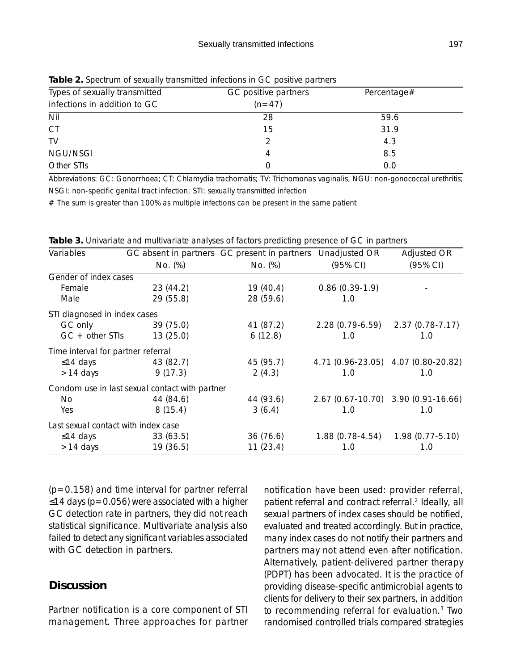| <b>10.0000 - Pooling and School</b> Indian Company and Controlled the Control Pontificial |                      |             |  |  |  |
|-------------------------------------------------------------------------------------------|----------------------|-------------|--|--|--|
| Types of sexually transmitted                                                             | GC positive partners | Percentage# |  |  |  |
| infections in addition to GC                                                              | $(n=47)$             |             |  |  |  |
| Nil                                                                                       | 28                   | 59.6        |  |  |  |
| <b>CT</b>                                                                                 | 15                   | 31.9        |  |  |  |
| TV                                                                                        |                      | 4.3         |  |  |  |
| NGU/NSGI                                                                                  |                      | 8.5         |  |  |  |
| Other STIs                                                                                |                      | 0.0         |  |  |  |

**Table 2.** Spectrum of sexually transmitted infections in GC positive partners

Abbreviations: GC: Gonorrhoea; CT: Chlamydia trachomatis; TV: Trichomonas vaginalis, NGU: non-gonococcal urethritis; NSGI: non-specific genital tract infection; STI: sexually transmitted infection

# The sum is greater than 100% as multiple infections can be present in the same patient

| Variables                           |                                                | GC absent in partners GC present in partners Unadjusted OR |                    | Adjusted OR                         |
|-------------------------------------|------------------------------------------------|------------------------------------------------------------|--------------------|-------------------------------------|
|                                     | No. (%)                                        | No. (%)                                                    | $(95% \text{ Cl})$ | $(95% \text{ Cl})$                  |
| Gender of index cases               |                                                |                                                            |                    |                                     |
| Female                              | 23(44.2)                                       | 19(40.4)                                                   | $0.86(0.39-1.9)$   |                                     |
| Male                                | 29(55.8)                                       | 28 (59.6)                                                  | 1.0                |                                     |
| STI diagnosed in index cases        |                                                |                                                            |                    |                                     |
| GC only                             | 39 (75.0)                                      | 41 (87.2)                                                  |                    | 2.28 (0.79-6.59) 2.37 (0.78-7.17)   |
| $GC + other STIs$                   | 13(25.0)                                       | 6(12.8)                                                    | 1.0                | 1.0                                 |
| Time interval for partner referral  |                                                |                                                            |                    |                                     |
| $\leq$ 14 days                      | 43 (82.7)                                      | 45 (95.7)                                                  |                    | 4.71 (0.96-23.05) 4.07 (0.80-20.82) |
| $>14$ days                          | 9(17.3)                                        | 2(4.3)                                                     | 1.0                | 1.0                                 |
|                                     | Condom use in last sexual contact with partner |                                                            |                    |                                     |
| No.                                 | 44 (84.6)                                      | 44 (93.6)                                                  |                    | 2.67 (0.67-10.70) 3.90 (0.91-16.66) |
| Yes                                 | 8(15.4)                                        | 3(6.4)                                                     | 1.0                | 1.0                                 |
| Last sexual contact with index case |                                                |                                                            |                    |                                     |
| $\leq$ 14 days                      | 33(63.5)                                       | 36(76.6)                                                   | $1.88(0.78-4.54)$  | $1.98(0.77 - 5.10)$                 |
| $>14$ days                          | 19(36.5)                                       | 11(23.4)                                                   | 1.0                | 1.0                                 |

 $(p=0.158)$  and time interval for partner referral ≤14 days (p=0.056) were associated with a higher GC detection rate in partners, they did not reach statistical significance. Multivariate analysis also failed to detect any significant variables associated with GC detection in partners.

## **Discussion**

Partner notification is a core component of STI management. Three approaches for partner notification have been used: provider referral, patient referral and contract referral.<sup>2</sup> Ideally, all sexual partners of index cases should be notified, evaluated and treated accordingly. But in practice, many index cases do not notify their partners and partners may not attend even after notification. Alternatively, patient-delivered partner therapy (PDPT) has been advocated. It is the practice of providing disease-specific antimicrobial agents to clients for delivery to their sex partners, in addition to recommending referral for evaluation.3 Two randomised controlled trials compared strategies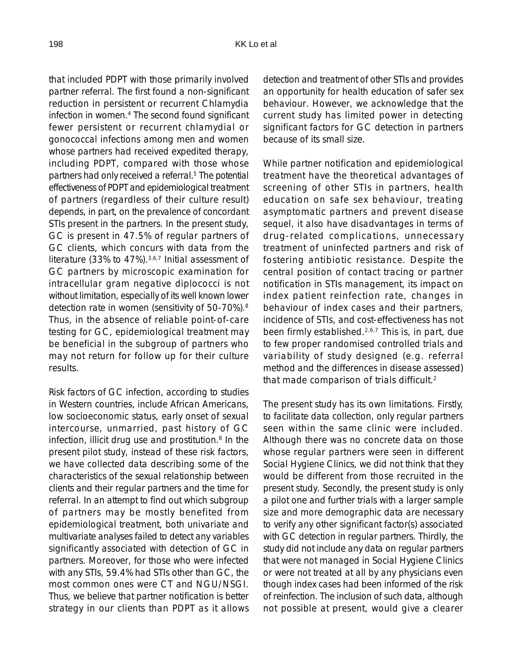that included PDPT with those primarily involved partner referral. The first found a non-significant reduction in persistent or recurrent Chlamydia infection in women.<sup>4</sup> The second found significant fewer persistent or recurrent chlamydial or gonococcal infections among men and women whose partners had received expedited therapy, including PDPT, compared with those whose partners had only received a referral.5 The potential effectiveness of PDPT and epidemiological treatment of partners (regardless of their culture result) depends, in part, on the prevalence of concordant STIs present in the partners. In the present study, GC is present in 47.5% of regular partners of GC clients, which concurs with data from the literature (33% to 47%).3,6,7 Initial assessment of GC partners by microscopic examination for intracellular gram negative diplococci is not without limitation, especially of its well known lower detection rate in women (sensitivity of 50-70%).8 Thus, in the absence of reliable point-of-care testing for GC, epidemiological treatment may be beneficial in the subgroup of partners who may not return for follow up for their culture results.

Risk factors of GC infection, according to studies in Western countries, include African Americans, low socioeconomic status, early onset of sexual intercourse, unmarried, past history of GC infection, illicit drug use and prostitution.<sup>8</sup> In the present pilot study, instead of these risk factors, we have collected data describing some of the characteristics of the sexual relationship between clients and their regular partners and the time for referral. In an attempt to find out which subgroup of partners may be mostly benefited from epidemiological treatment, both univariate and multivariate analyses failed to detect any variables significantly associated with detection of GC in partners. Moreover, for those who were infected with any STIs, 59.4% had STIs other than GC, the most common ones were CT and NGU/NSGI. Thus, we believe that partner notification is better strategy in our clients than PDPT as it allows

detection and treatment of other STIs and provides an opportunity for health education of safer sex behaviour. However, we acknowledge that the current study has limited power in detecting significant factors for GC detection in partners because of its small size.

While partner notification and epidemiological treatment have the theoretical advantages of screening of other STIs in partners, health education on safe sex behaviour, treating asymptomatic partners and prevent disease sequel, it also have disadvantages in terms of drug-related complications, unnecessary treatment of uninfected partners and risk of fostering antibiotic resistance. Despite the central position of contact tracing or partner notification in STIs management, its impact on index patient reinfection rate, changes in behaviour of index cases and their partners, incidence of STIs, and cost-effectiveness has not been firmly established.2,6,7 This is, in part, due to few proper randomised controlled trials and variability of study designed (e.g. referral method and the differences in disease assessed) that made comparison of trials difficult.2

The present study has its own limitations. Firstly, to facilitate data collection, only regular partners seen within the same clinic were included. Although there was no concrete data on those whose regular partners were seen in different Social Hygiene Clinics, we did not think that they would be different from those recruited in the present study. Secondly, the present study is only a pilot one and further trials with a larger sample size and more demographic data are necessary to verify any other significant factor(s) associated with GC detection in regular partners. Thirdly, the study did not include any data on regular partners that were not managed in Social Hygiene Clinics or were not treated at all by any physicians even though index cases had been informed of the risk of reinfection. The inclusion of such data, although not possible at present, would give a clearer